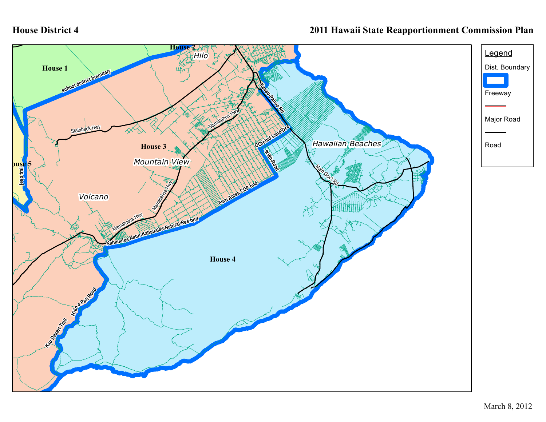## **House District 4**

## **2011 Hawaii State Reapportionment Commission Plan**